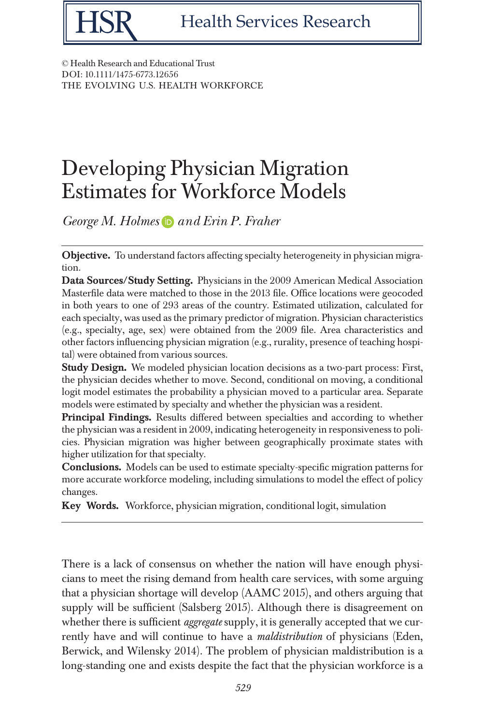# Health Services Research

© Health Research and Educational Trust DOI: 10.1111/1475-6773.12656 THE EVOLVING U.S. HEALTH WORKFORCE

# Developing Physician Migration Estimates for Workforce Models

George M. Holmes  $\Box$  and Erin P. Fraher

Objective. To understand factors affecting specialty heterogeneity in physician migration.

Data Sources/Study Setting. Physicians in the 2009 American Medical Association Masterfile data were matched to those in the 2013 file. Office locations were geocoded in both years to one of 293 areas of the country. Estimated utilization, calculated for each specialty, was used as the primary predictor of migration. Physician characteristics (e.g., specialty, age, sex) were obtained from the 2009 file. Area characteristics and other factors influencing physician migration (e.g., rurality, presence of teaching hospital) were obtained from various sources.

Study Design. We modeled physician location decisions as a two-part process: First, the physician decides whether to move. Second, conditional on moving, a conditional logit model estimates the probability a physician moved to a particular area. Separate models were estimated by specialty and whether the physician was a resident.

Principal Findings. Results differed between specialties and according to whether the physician was a resident in 2009, indicating heterogeneity in responsiveness to policies. Physician migration was higher between geographically proximate states with higher utilization for that specialty.

Conclusions. Models can be used to estimate specialty-specific migration patterns for more accurate workforce modeling, including simulations to model the effect of policy changes.

Key Words. Workforce, physician migration, conditional logit, simulation

There is a lack of consensus on whether the nation will have enough physicians to meet the rising demand from health care services, with some arguing that a physician shortage will develop (AAMC 2015), and others arguing that supply will be sufficient (Salsberg 2015). Although there is disagreement on whether there is sufficient *aggregate* supply, it is generally accepted that we currently have and will continue to have a *maldistribution* of physicians (Eden, Berwick, and Wilensky 2014). The problem of physician maldistribution is a long-standing one and exists despite the fact that the physician workforce is a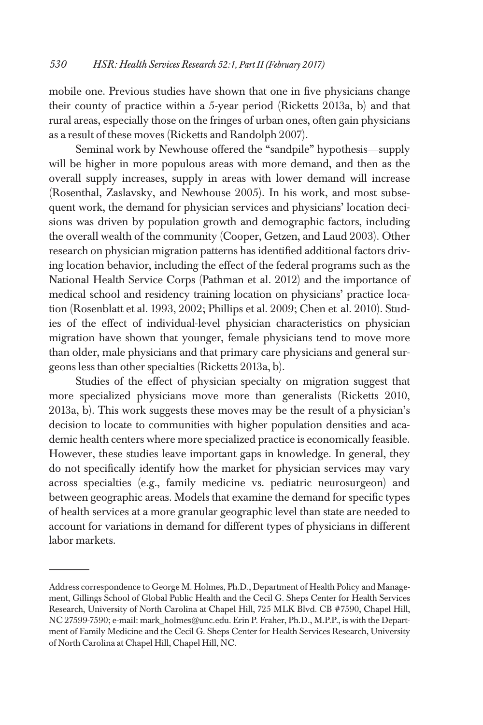mobile one. Previous studies have shown that one in five physicians change their county of practice within a 5-year period (Ricketts 2013a, b) and that rural areas, especially those on the fringes of urban ones, often gain physicians as a result of these moves (Ricketts and Randolph 2007).

Seminal work by Newhouse offered the "sandpile" hypothesis—supply will be higher in more populous areas with more demand, and then as the overall supply increases, supply in areas with lower demand will increase (Rosenthal, Zaslavsky, and Newhouse 2005). In his work, and most subsequent work, the demand for physician services and physicians' location decisions was driven by population growth and demographic factors, including the overall wealth of the community (Cooper, Getzen, and Laud 2003). Other research on physician migration patterns has identified additional factors driving location behavior, including the effect of the federal programs such as the National Health Service Corps (Pathman et al. 2012) and the importance of medical school and residency training location on physicians' practice location (Rosenblatt et al. 1993, 2002; Phillips et al. 2009; Chen et al. 2010). Studies of the effect of individual-level physician characteristics on physician migration have shown that younger, female physicians tend to move more than older, male physicians and that primary care physicians and general surgeons less than other specialties (Ricketts 2013a, b).

Studies of the effect of physician specialty on migration suggest that more specialized physicians move more than generalists (Ricketts 2010, 2013a, b). This work suggests these moves may be the result of a physician's decision to locate to communities with higher population densities and academic health centers where more specialized practice is economically feasible. However, these studies leave important gaps in knowledge. In general, they do not specifically identify how the market for physician services may vary across specialties (e.g., family medicine vs. pediatric neurosurgeon) and between geographic areas. Models that examine the demand for specific types of health services at a more granular geographic level than state are needed to account for variations in demand for different types of physicians in different labor markets.

Address correspondence to George M. Holmes, Ph.D., Department of Health Policy and Management, Gillings School of Global Public Health and the Cecil G. Sheps Center for Health Services Research, University of North Carolina at Chapel Hill, 725 MLK Blvd. CB #7590, Chapel Hill, NC 27599-7590; e-mail: mark\_holmes@unc.edu. Erin P. Fraher, Ph.D., M.P.P., is with the Department of Family Medicine and the Cecil G. Sheps Center for Health Services Research, University of North Carolina at Chapel Hill, Chapel Hill, NC.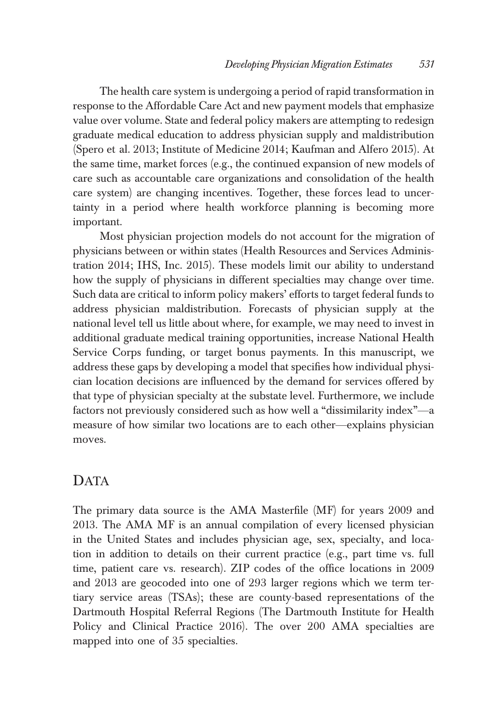The health care system is undergoing a period of rapid transformation in response to the Affordable Care Act and new payment models that emphasize value over volume. State and federal policy makers are attempting to redesign graduate medical education to address physician supply and maldistribution (Spero et al. 2013; Institute of Medicine 2014; Kaufman and Alfero 2015). At the same time, market forces (e.g., the continued expansion of new models of care such as accountable care organizations and consolidation of the health care system) are changing incentives. Together, these forces lead to uncertainty in a period where health workforce planning is becoming more important.

Most physician projection models do not account for the migration of physicians between or within states (Health Resources and Services Administration 2014; IHS, Inc. 2015). These models limit our ability to understand how the supply of physicians in different specialties may change over time. Such data are critical to inform policy makers' efforts to target federal funds to address physician maldistribution. Forecasts of physician supply at the national level tell us little about where, for example, we may need to invest in additional graduate medical training opportunities, increase National Health Service Corps funding, or target bonus payments. In this manuscript, we address these gaps by developing a model that specifies how individual physician location decisions are influenced by the demand for services offered by that type of physician specialty at the substate level. Furthermore, we include factors not previously considered such as how well a "dissimilarity index"—a measure of how similar two locations are to each other—explains physician moves.

# DATA

The primary data source is the AMA Masterfile (MF) for years 2009 and 2013. The AMA MF is an annual compilation of every licensed physician in the United States and includes physician age, sex, specialty, and location in addition to details on their current practice (e.g., part time vs. full time, patient care vs. research). ZIP codes of the office locations in 2009 and 2013 are geocoded into one of 293 larger regions which we term tertiary service areas (TSAs); these are county-based representations of the Dartmouth Hospital Referral Regions (The Dartmouth Institute for Health Policy and Clinical Practice 2016). The over 200 AMA specialties are mapped into one of 35 specialties.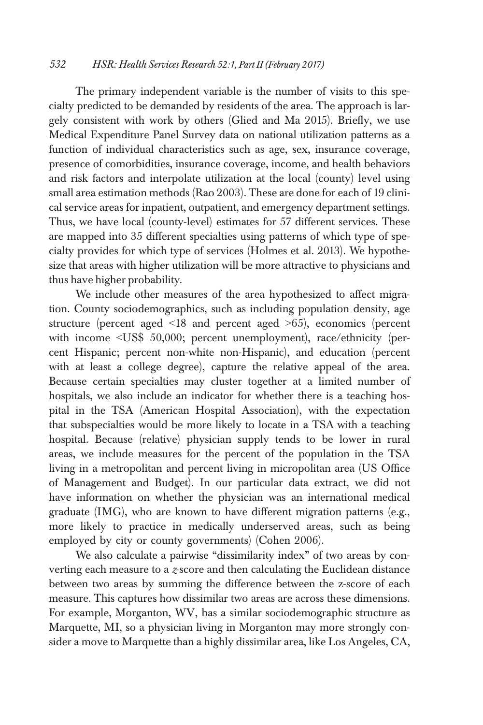#### 532 HSR: Health Services Research 52:1, Part II (February 2017)

The primary independent variable is the number of visits to this specialty predicted to be demanded by residents of the area. The approach is largely consistent with work by others (Glied and Ma 2015). Briefly, we use Medical Expenditure Panel Survey data on national utilization patterns as a function of individual characteristics such as age, sex, insurance coverage, presence of comorbidities, insurance coverage, income, and health behaviors and risk factors and interpolate utilization at the local (county) level using small area estimation methods (Rao 2003). These are done for each of 19 clinical service areas for inpatient, outpatient, and emergency department settings. Thus, we have local (county-level) estimates for 57 different services. These are mapped into 35 different specialties using patterns of which type of specialty provides for which type of services (Holmes et al. 2013). We hypothesize that areas with higher utilization will be more attractive to physicians and thus have higher probability.

We include other measures of the area hypothesized to affect migration. County sociodemographics, such as including population density, age structure (percent aged <18 and percent aged >65), economics (percent with income <US\$ 50,000; percent unemployment), race/ethnicity (percent Hispanic; percent non-white non-Hispanic), and education (percent with at least a college degree), capture the relative appeal of the area. Because certain specialties may cluster together at a limited number of hospitals, we also include an indicator for whether there is a teaching hospital in the TSA (American Hospital Association), with the expectation that subspecialties would be more likely to locate in a TSA with a teaching hospital. Because (relative) physician supply tends to be lower in rural areas, we include measures for the percent of the population in the TSA living in a metropolitan and percent living in micropolitan area (US Office of Management and Budget). In our particular data extract, we did not have information on whether the physician was an international medical graduate (IMG), who are known to have different migration patterns (e.g., more likely to practice in medically underserved areas, such as being employed by city or county governments) (Cohen 2006).

We also calculate a pairwise "dissimilarity index" of two areas by converting each measure to a z-score and then calculating the Euclidean distance between two areas by summing the difference between the z-score of each measure. This captures how dissimilar two areas are across these dimensions. For example, Morganton, WV, has a similar sociodemographic structure as Marquette, MI, so a physician living in Morganton may more strongly consider a move to Marquette than a highly dissimilar area, like Los Angeles, CA,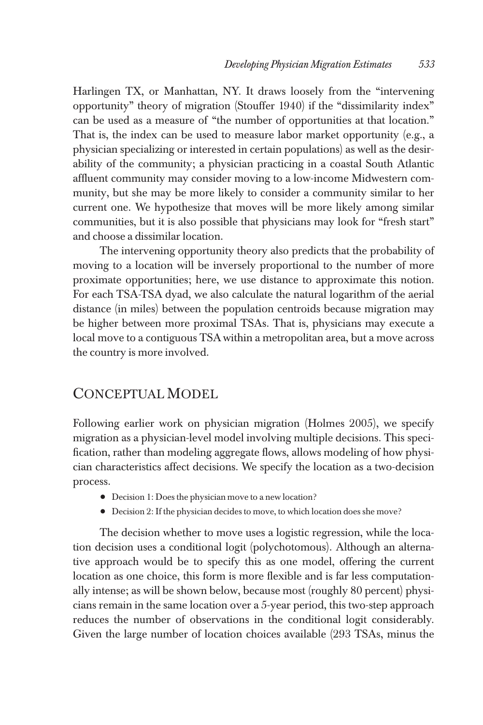Harlingen TX, or Manhattan, NY. It draws loosely from the "intervening opportunity" theory of migration (Stouffer 1940) if the "dissimilarity index" can be used as a measure of "the number of opportunities at that location." That is, the index can be used to measure labor market opportunity (e.g., a physician specializing or interested in certain populations) as well as the desirability of the community; a physician practicing in a coastal South Atlantic affluent community may consider moving to a low-income Midwestern community, but she may be more likely to consider a community similar to her current one. We hypothesize that moves will be more likely among similar communities, but it is also possible that physicians may look for "fresh start" and choose a dissimilar location.

The intervening opportunity theory also predicts that the probability of moving to a location will be inversely proportional to the number of more proximate opportunities; here, we use distance to approximate this notion. For each TSA-TSA dyad, we also calculate the natural logarithm of the aerial distance (in miles) between the population centroids because migration may be higher between more proximal TSAs. That is, physicians may execute a local move to a contiguous TSA within a metropolitan area, but a move across the country is more involved.

## CONCEPTUAL MODEL

Following earlier work on physician migration (Holmes 2005), we specify migration as a physician-level model involving multiple decisions. This specification, rather than modeling aggregate flows, allows modeling of how physician characteristics affect decisions. We specify the location as a two-decision process.

- Decision 1: Does the physician move to a new location?
- Decision 2: If the physician decides to move, to which location does she move?

The decision whether to move uses a logistic regression, while the location decision uses a conditional logit (polychotomous). Although an alternative approach would be to specify this as one model, offering the current location as one choice, this form is more flexible and is far less computationally intense; as will be shown below, because most (roughly 80 percent) physicians remain in the same location over a 5-year period, this two-step approach reduces the number of observations in the conditional logit considerably. Given the large number of location choices available (293 TSAs, minus the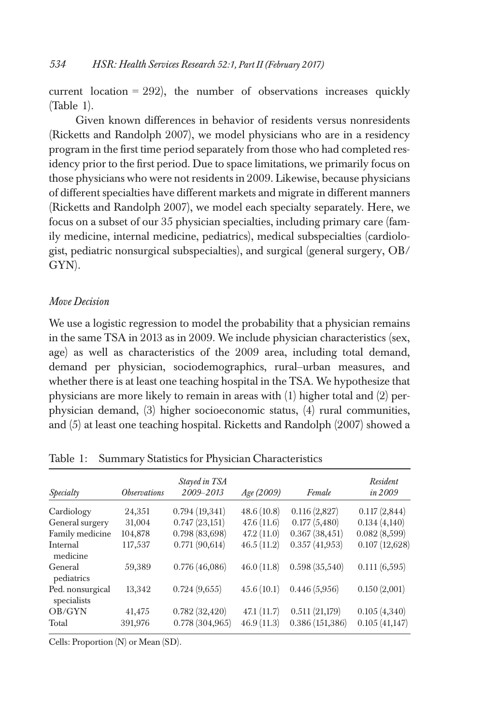current location  $= 292$ ), the number of observations increases quickly (Table 1).

Given known differences in behavior of residents versus nonresidents (Ricketts and Randolph 2007), we model physicians who are in a residency program in the first time period separately from those who had completed residency prior to the first period. Due to space limitations, we primarily focus on those physicians who were not residents in 2009. Likewise, because physicians of different specialties have different markets and migrate in different manners (Ricketts and Randolph 2007), we model each specialty separately. Here, we focus on a subset of our 35 physician specialties, including primary care (family medicine, internal medicine, pediatrics), medical subspecialties (cardiologist, pediatric nonsurgical subspecialties), and surgical (general surgery, OB/ GYN).

## Move Decision

We use a logistic regression to model the probability that a physician remains in the same TSA in 2013 as in 2009. We include physician characteristics (sex, age) as well as characteristics of the 2009 area, including total demand, demand per physician, sociodemographics, rural–urban measures, and whether there is at least one teaching hospital in the TSA. We hypothesize that physicians are more likely to remain in areas with (1) higher total and (2) perphysician demand, (3) higher socioeconomic status, (4) rural communities, and (5) at least one teaching hospital. Ricketts and Randolph (2007) showed a

| Specialty                       | <i><b>Observations</b></i> | Stayed in TSA<br>2009-2013 | Age (2009) | Female         | Resident<br>in 200.9 |
|---------------------------------|----------------------------|----------------------------|------------|----------------|----------------------|
| Cardiology                      | 24,351                     | 0.794(19,341)              | 48.6(10.8) | 0.116(2,827)   | 0.117(2,844)         |
| General surgery                 | 31,004                     | 0.747(23,151)              | 47.6(11.6) | 0.177(5,480)   | 0.134(4,140)         |
| Family medicine                 | 104,878                    | 0.798(83,698)              | 47.2(11.0) | 0.367(38,451)  | 0.082(8,599)         |
| <b>Internal</b><br>medicine     | 117,537                    | 0.771(90,614)              | 46.5(11.2) | 0.357(41,953)  | 0.107(12,628)        |
| General<br>pediatrics           | 59,389                     | 0.776(46,086)              | 46.0(11.8) | 0.598(35,540)  | 0.111(6,595)         |
| Ped. nonsurgical<br>specialists | 13,342                     | 0.724(9,655)               | 45.6(10.1) | 0.446(5,956)   | 0.150(2,001)         |
| OB/GYN                          | 41,475                     | 0.782(32,420)              | 47.1(11.7) | 0.511(21,179)  | 0.105(4,340)         |
| <b>Total</b>                    | 391,976                    | 0.778(304,965)             | 46.9(11.3) | 0.386(151,386) | 0.105(41,147)        |

Table 1: Summary Statistics for Physician Characteristics

Cells: Proportion (N) or Mean (SD).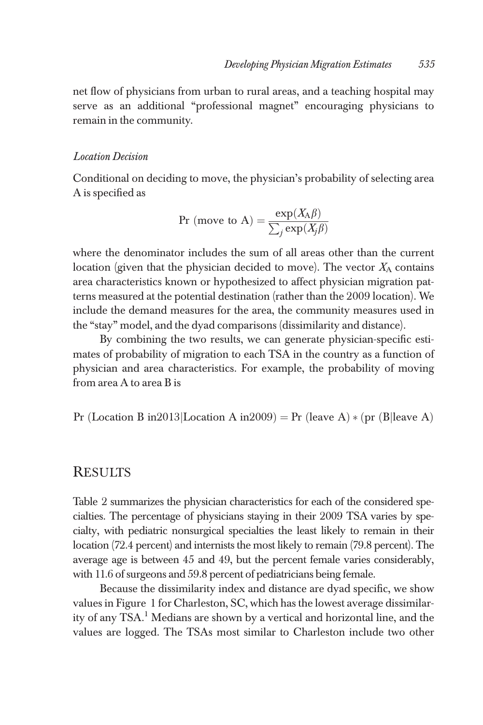net flow of physicians from urban to rural areas, and a teaching hospital may serve as an additional "professional magnet" encouraging physicians to remain in the community.

#### Location Decision

Conditional on deciding to move, the physician's probability of selecting area A is specified as

$$
Pr \text{ (move to A)} = \frac{\exp(X_{A}\beta)}{\sum_{j} \exp(X_{j}\beta)}
$$

where the denominator includes the sum of all areas other than the current location (given that the physician decided to move). The vector  $X_A$  contains area characteristics known or hypothesized to affect physician migration patterns measured at the potential destination (rather than the 2009 location). We include the demand measures for the area, the community measures used in the "stay" model, and the dyad comparisons (dissimilarity and distance).

By combining the two results, we can generate physician-specific estimates of probability of migration to each TSA in the country as a function of physician and area characteristics. For example, the probability of moving from area A to area B is

Pr (Location B in2013|Location A in2009) = Pr (leave A)  $\ast$  (pr (B|leave A)

## RESULTS

Table 2 summarizes the physician characteristics for each of the considered specialties. The percentage of physicians staying in their 2009 TSA varies by specialty, with pediatric nonsurgical specialties the least likely to remain in their location (72.4 percent) and internists the most likely to remain (79.8 percent). The average age is between 45 and 49, but the percent female varies considerably, with 11.6 of surgeons and 59.8 percent of pediatricians being female.

Because the dissimilarity index and distance are dyad specific, we show values in Figure 1 for Charleston, SC, which has the lowest average dissimilarity of any TSA.<sup>1</sup> Medians are shown by a vertical and horizontal line, and the values are logged. The TSAs most similar to Charleston include two other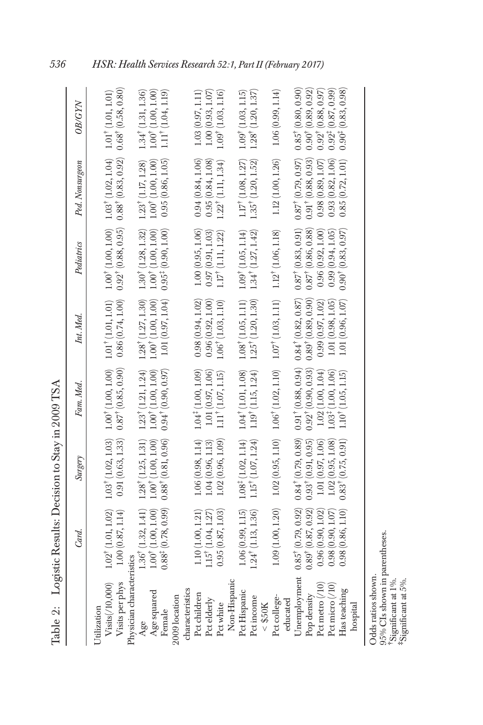| Table 2: Logistic Results: Decision to Stay in 2009 TSA |                                  |                                    |                                                    |                               |                                    |                                    |                                                       |
|---------------------------------------------------------|----------------------------------|------------------------------------|----------------------------------------------------|-------------------------------|------------------------------------|------------------------------------|-------------------------------------------------------|
|                                                         | Card.                            | Surgery                            | Fam. Med                                           | Int. Med.                     | Pediatrics                         | Ped. Nonsurgeon                    | O B/GY N                                              |
| Utilization                                             |                                  |                                    |                                                    |                               |                                    |                                    |                                                       |
| $V\text{isits}(10,000)$                                 | $1.02^{\dagger}$ $(1.01, 1.02)$  | $1.03$ <sup>†</sup> $(1.02, 1.03)$ | $1.00^{\dagger} (1.00, 1.00)$                      | $1.01^{\dagger} (1.01, 1.01)$ | $1.00$ <sup>†</sup> $(1.00, 1.00)$ | $1.03^{\dagger} (1.02, 1.04)$      | $1.01^{\dagger}$ $(1.01, 1.01)$                       |
| Visits per phys                                         | 1.00(0.87, 1.14)                 | 0.91(0.63, 1.33)                   | $0.87^{\dagger}$ (0.85, 0.90)                      | 0.86(0.74, 1.00)              | $0.92^{\dagger} (0.88, 0.95)$      | $0.88^{\dagger}$ (0.83, 0.92)      | $0.68^{\dagger}$ (0.58, 0.80)                         |
| Physician characteristics                               |                                  |                                    |                                                    |                               |                                    |                                    |                                                       |
| Age                                                     | $1.36^{\dagger} (1.32, 1.41)$    | $1.28^{\dagger}$ (1.25, 1.31)      | $1.23$ <sup>†</sup> $(1.21, 1.24)$                 | $1.28^{\dagger}$ (1.27, 1.30) | $1.30^{\dagger}$ (1.28, 1.32)      | $1.23$ <sup>†</sup> $(1.17, 1.28)$ | $1.34^{\dagger}$ $(1.31, 1.36)$                       |
| Age squared                                             | $1.00^{\dagger}$ $(1.00, 1.00)$  | $1.00^{\dagger} (1.00, 1.00)$      | $1.00^{\dagger} (1.00, 1.00)$                      | $1.00^{\dagger} (1.00, 1.00)$ | $1.00^{\dagger} (1.00, 1.00)$      | $1.00^{\dagger}$ $(1.00, 1.00)$    | $1.00^{\dagger}$ $(1.00, 1.00)$                       |
| Female                                                  | $0.88^{4}$ (0.78, 0.99)          | $0.88^{\dagger}$ (0.81, 0.96)      | $0.94$ <sup>†</sup> $(0.90, 0.97)$                 | 1.01(0.97, 1.04)              | $0.95\sqrt[4]{0.90}$ , 1.00)       | 0.95(0.86, 1.05)                   | $1.11^{\dagger} (1.04, 1.19)$                         |
| 2009 location                                           |                                  |                                    |                                                    |                               |                                    |                                    |                                                       |
| characteristics                                         |                                  |                                    |                                                    |                               |                                    |                                    |                                                       |
| Pct childrer                                            | 1.10(1.00, 1.21)                 | 1.06(0.98, 1.14)                   | $1.04$ <sup>‡</sup> $(1.00, 1.09)$                 | 0.98(0.94, 1.02)              | 1.00(0.95, 1.06)                   | 0.94(0.84, 1.06)                   | 1.03(0.97, 1.11)                                      |
| Pctelderly                                              | $1.15^\circ (1.04, 1.27)$        | 1.04(0.96, 1.13)                   | 1.01(0.97, 1.06)                                   | 0.96(0.92, 1.00)              | 0.97(0.91, 1.03)                   | 0.95(0.84, 1.08)                   | 1.00(0.93, 1.07)                                      |
| Pct white                                               | 0.95(0.87, 1.03)                 | 1.02(0.96, 1.09)                   | $1.11^{\dagger} (1.07, 1.15)$                      | $1.06^{\dagger} (1.03, 1.10)$ | $1.17^{\dagger}$ (1.11, 1.22)      | $1.22^{\dagger}$ (1.11, 1.34)      | $1.09$ <sup><math>\degree</math></sup> $(1.03, 1.16)$ |
| Non-Hispanic                                            |                                  |                                    |                                                    |                               |                                    |                                    |                                                       |
| Pct Hispanic                                            | 1.06(0.99, 1.15)                 | $1.08$ <sup>3</sup> $(1.02, 1.14)$ | $1.04$ <sup>†</sup> (1.01, 1.08)                   | $1.08^{\dagger} (1.05, 1.11)$ | $1.09'$ $(1.05, 1.14)$             | $1.17^{\dagger}$ (1.08, 1.27)      | $1.09^{\dagger} (1.03, 1.15)$                         |
| Pctincome                                               | $1.24$ <sup>†</sup> (1.13, 1.36) | $1.15$ <sup>†</sup> $(1.07, 1.24)$ | $1.19$ <sup>†</sup> $(1.15, 1.24)$                 | $1.25^{\dagger}$ (1.20, 1.30) | $1.34$ <sup>†</sup> (1.27, 1.42)   | $1.35^{\dagger}$ (1.20, 1.52)      | $1.28$ <sup>†</sup> (1.20, 1.37)                      |
| $<$ \$50K                                               |                                  |                                    |                                                    |                               |                                    |                                    |                                                       |
| Pct college-                                            | 1.09(1.00, 1.20)                 |                                    | $1.02(0.95, 1.10)$ $1.06^{\dagger}$ $(1.02, 1.10)$ | $1.07^{\dagger}$ (1.03, 1.11) | $1.12^{\dagger} (1.06, 1.18)$      | 1.12(1.00, 1.26)                   | 1.06(0.99, 1.14)                                      |
| educated                                                |                                  |                                    |                                                    |                               |                                    |                                    |                                                       |
| Unemployment                                            | $0.85^{\dagger}$ (0.79, 0.92)    | $0.84^{\dagger}$ (0.79, 0.89)      | $0.91^{\dagger}$ (0.88, 0.94)                      | $0.84^{\dagger}$ (0.82, 0.87) | $0.87^{\dagger}$ (0.83, 0.91)      | $0.87^{\dagger}$ $(0.79, 0.97)$    | $0.85^{\dagger}$ (0.80, 0.90)                         |
| Pop density                                             | $0.89^{\dagger} (0.87, 0.92)$    | $0.93$ <sup>†</sup> $(0.91, 0.95)$ | $0.92^{\dagger}$ (0.90, 0.93)                      | $0.89^{\dagger}$ (0.89, 0.90) | $0.87^{\dagger} (0.86, 0.88)$      | $0.91$ <sup>†</sup> $(0.88, 0.93)$ | $0.90^{\dagger}$ (0.89, 0.92)                         |
| $Pct$ metro $(10)$                                      | 0.96(0.90, 1.02)                 | 1.01(0.97, 1.06)                   | 1.02(1.00, 1.04)                                   | 0.99(0.97, 1.02)              | 0.96(0.92, 1.00)                   | 0.98(0.89, 1.07)                   | $0.92^{\dagger} (0.88, 0.97)$                         |
| $Pct$ micro $(710)$                                     | 0.98(0.90, 1.07)                 | 1.02(0.95, 1.08)                   | $1.03‡$ $(1.00, 1.06)$                             | 1.01(0.98, 1.05)              | 0.99(0.94, 1.05)                   | 0.93(0.82, 1.06)                   | $0.92^{4}$ (0.87, 0.99)                               |
| Has teaching                                            | 0.98(0.86, 1.10)                 | $0.83^{\dagger}$ (0.75, 0.91)      | $1.10^{\dagger}$ $(1.05, 1.15)$                    | 1.01(0.96, 1.07)              | $0.90^{\dagger} (0.83, 0.97)$      | 0.85(0.72, 1.01)                   | $0.90\frac{1}{1}(0.83, 0.98)$                         |
| hospita                                                 |                                  |                                    |                                                    |                               |                                    |                                    |                                                       |
|                                                         |                                  |                                    |                                                    |                               |                                    |                                    |                                                       |

536 HSR: Health Services Research 52:1, Part II (February 2017)

95% CIs shown in parentheses. †Significant at 1%. ‡Significant at 5%. Odds ratios shown. Odds ratios shown.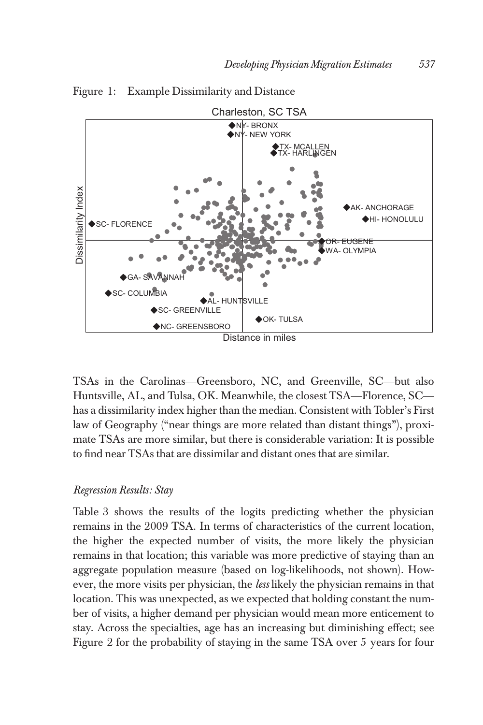

Figure 1: Example Dissimilarity and Distance

TSAs in the Carolinas—Greensboro, NC, and Greenville, SC—but also Huntsville, AL, and Tulsa, OK. Meanwhile, the closest TSA—Florence, SC has a dissimilarity index higher than the median. Consistent with Tobler's First law of Geography ("near things are more related than distant things"), proximate TSAs are more similar, but there is considerable variation: It is possible to find near TSAs that are dissimilar and distant ones that are similar.

## Regression Results: Stay

Table 3 shows the results of the logits predicting whether the physician remains in the 2009 TSA. In terms of characteristics of the current location, the higher the expected number of visits, the more likely the physician remains in that location; this variable was more predictive of staying than an aggregate population measure (based on log-likelihoods, not shown). However, the more visits per physician, the less likely the physician remains in that location. This was unexpected, as we expected that holding constant the number of visits, a higher demand per physician would mean more enticement to stay. Across the specialties, age has an increasing but diminishing effect; see Figure 2 for the probability of staying in the same TSA over 5 years for four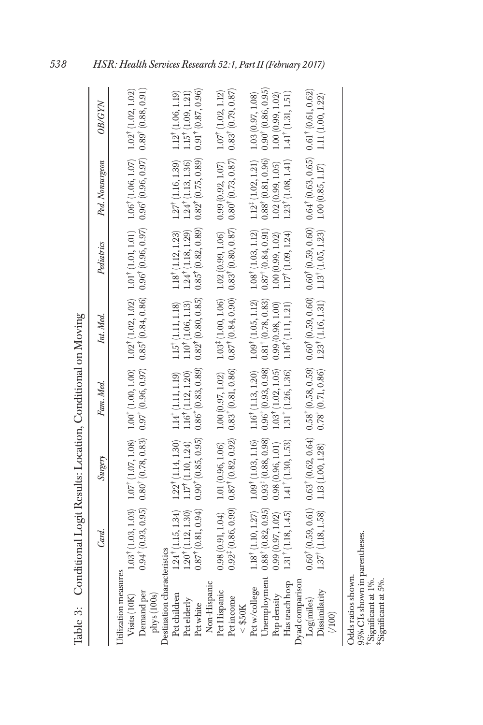|                                | Card.                            | Surgery                                                     | Fam. Med.                                                                           | Int. Med.                                                                                                                                                                                                                                                                                                                | Pediatrics                      | Ped. Nonsurgeon                                             | <b>OB/GYN</b>                 |
|--------------------------------|----------------------------------|-------------------------------------------------------------|-------------------------------------------------------------------------------------|--------------------------------------------------------------------------------------------------------------------------------------------------------------------------------------------------------------------------------------------------------------------------------------------------------------------------|---------------------------------|-------------------------------------------------------------|-------------------------------|
| Utilization measures           |                                  |                                                             |                                                                                     |                                                                                                                                                                                                                                                                                                                          |                                 |                                                             |                               |
| $V_{\text{isits}}(10\text{K})$ |                                  |                                                             |                                                                                     |                                                                                                                                                                                                                                                                                                                          |                                 |                                                             |                               |
| Demand per                     |                                  |                                                             |                                                                                     | $1.03^{\dagger} (1.03, 1.03) - 1.07^{\dagger} (1.07, 1.08) - 1.00^{\dagger} (1.00, 1.00) - 1.02^{\dagger} (1.02, 1.02) - 1.01^{\dagger} (1.01, 1.01) - 1.06^{\dagger} (1.06, 1.07) - 1.02^{\dagger} (1.02, 1.02) - 0.94^{\dagger} (0.93, 0.95) - 0.80^{\dagger} (0.78, 0.83) - 0.97^{\dagger} (0.9$                      |                                 |                                                             |                               |
| phys(100s)                     |                                  |                                                             |                                                                                     |                                                                                                                                                                                                                                                                                                                          |                                 |                                                             |                               |
| Destination characteristics    |                                  |                                                             |                                                                                     |                                                                                                                                                                                                                                                                                                                          |                                 |                                                             |                               |
| Pct children                   |                                  |                                                             |                                                                                     | $1.24^{\dagger} (1.15, 1.34) \quad 1.22^{\dagger} (1.14, 1.30) \quad 1.14^{\dagger} (1.11, 1.19) \quad 1.15^{\dagger} (1.11, 1.18) \quad 1.18^{\dagger} (1.12, 1.23) \quad 1.27^{\dagger} (1.16, 1.39) \quad 1.12^{\dagger} (1.06, 1.19) \quad 1.120^{\dagger} (1.16, 1.30) \quad 1.17^{\dagger} (1.10, 1.24) \quad 1.1$ |                                 |                                                             |                               |
| Pct elderly                    |                                  |                                                             |                                                                                     |                                                                                                                                                                                                                                                                                                                          |                                 |                                                             |                               |
| Pct white                      | $0.87^{\dagger} (0.81, 0.94)$    |                                                             |                                                                                     | $0.90^{\dagger}$ (0.85, 0.95) $0.86^{\dagger}$ (0.83, 0.89) $0.82^{\dagger}$ (0.80, 0.85) $0.85^{\dagger}$ (0.82, 0.89)                                                                                                                                                                                                  |                                 | $0.82^{\dagger}$ (0.75, 0.89) $0.91^{\dagger}$ (0.87, 0.96) |                               |
| Non-Hispanic                   |                                  |                                                             |                                                                                     |                                                                                                                                                                                                                                                                                                                          |                                 |                                                             |                               |
| Pct Hispanic                   |                                  |                                                             |                                                                                     | $0.98(0.91, 1.04)$ $1.01(0.96, 1.06)$ $0.05(0.97, 1.02)$ $1.02(0.00, 1.06)$ $1.02(0.00, 0.99(0.99, 0.99(0.92, 1.07)$ $1.07)$ $1.02(1.02, 1.12)$                                                                                                                                                                          |                                 |                                                             |                               |
| Pct income                     |                                  |                                                             |                                                                                     | $0.92^{\sharp} \ (0.86,0.99) \quad 0.87^{\dag} \ (0.82,0.92) \quad 0.83^{\dag} \ (0.81,0.86) \quad 0.87^{\dag} \ (0.84,0.90) \quad 0.83^{\dag} \ (0.80,0.87) \quad 0.80^{\dag} \ (0.73,0.87) \quad 0.83^{\dag} \ (0.79,0.87)$                                                                                            |                                 |                                                             |                               |
| < \$50K                        |                                  |                                                             |                                                                                     |                                                                                                                                                                                                                                                                                                                          |                                 |                                                             |                               |
| Pct w/college                  |                                  |                                                             | $1.18' (1.10, 1.27)$ $1.09' (1.03, 1.16)$ $1.16' (1.13, 1.20)$ $1.09' (1.05, 1.12)$ |                                                                                                                                                                                                                                                                                                                          | $1.08^{\dagger}$ (1.03, 1.12)   | $1.12^{\ddagger}$ (1.02, 1.21)                              | 1.03(0.97, 1.08)              |
| Unemployment                   |                                  | $0.88^{\dagger}$ (0.82, 0.95) $0.93^{\dagger}$ (0.88, 0.98) | $0.96^\dagger\, (0.93, 0.98) \\ 1.03^\dagger\, (1.02, 1.05)$                        | $0.81^{\dagger}\,(0.78,\,0.83)$                                                                                                                                                                                                                                                                                          | $0.87^{\dagger}\,(0.84, 0.91)$  | $0.88^{\dagger}$ (0.81, 0.96)                               | $0.90^{\dagger}$ (0.86, 0.95) |
| Pop density                    | 0.99(0.97, 1.02)                 | 0.98(0.96, 1.01)                                            |                                                                                     | 0.99(0.98, 1.00)                                                                                                                                                                                                                                                                                                         | 1.00(0.99, 1.02)                | 1.02(0.99, 1.05)                                            | 1.00(0.99, 1.02)              |
| Has teach hosp                 | $1.31$ <sup>†</sup> (1.18, 1.45) | $1.41^{\dagger}\,(1.30,1.53)$                               | $1.31^{\, \dagger} \, (1.26, 1.36)$                                                 | $1.16^{\dagger}\,(1.11,\,1.21)$                                                                                                                                                                                                                                                                                          | $1.17^{\dagger}\,(1.09,\,1.24)$ | $1.23^{\dagger} (1.08, 1.41)$                               | $1.41^{\dagger}$ (1.31, 1.51) |
| Dyad comparison                |                                  |                                                             |                                                                                     |                                                                                                                                                                                                                                                                                                                          |                                 |                                                             |                               |
| Log(miles)                     |                                  |                                                             |                                                                                     | $0.60^{*}(0.59,0.61)$ $0.63^{*}(0.62,0.64)$ $0.58^{*}(0.58,0.59)$ $0.60^{*}(0.59,0.60)$ $0.60^{*}(0.59,0.60)$ $0.64^{*}(0.63,0.65)$ $0.61^{*}(0.61,0.62)$                                                                                                                                                                |                                 |                                                             |                               |
| Dissimilarity                  |                                  | $1.37^{\dagger}$ (1.18, 1.58) $1.13$ (1.00, 1.28)           |                                                                                     | $0.78^{\dagger}\left(0.71, 0.86\right) \quad 1.23^{\dagger}\left(1.16, 1.31\right) \quad 1.13^{\dagger}\left(1.05, 1.23\right) \quad 1.00\left(0.85, 1.17\right) \quad \  1.11\left(1.00, 1.22\right)$                                                                                                                   |                                 |                                                             |                               |
| (7100)                         |                                  |                                                             |                                                                                     |                                                                                                                                                                                                                                                                                                                          |                                 |                                                             |                               |
| Odds ratios shown.             |                                  |                                                             |                                                                                     |                                                                                                                                                                                                                                                                                                                          |                                 |                                                             |                               |
| 95% CIs shown in parentheses.  |                                  |                                                             |                                                                                     |                                                                                                                                                                                                                                                                                                                          |                                 |                                                             |                               |
| Significant at 1%              |                                  |                                                             |                                                                                     |                                                                                                                                                                                                                                                                                                                          |                                 |                                                             |                               |
| #Significant at 5%             |                                  |                                                             |                                                                                     |                                                                                                                                                                                                                                                                                                                          |                                 |                                                             |                               |

Table 3: Conditional Logit Results: Location, Conditional on Moving Table 3: Conditional Logit Results: Location, Conditional on Moving

538 HSR: Health Services Research 52:1, Part II (February 2017)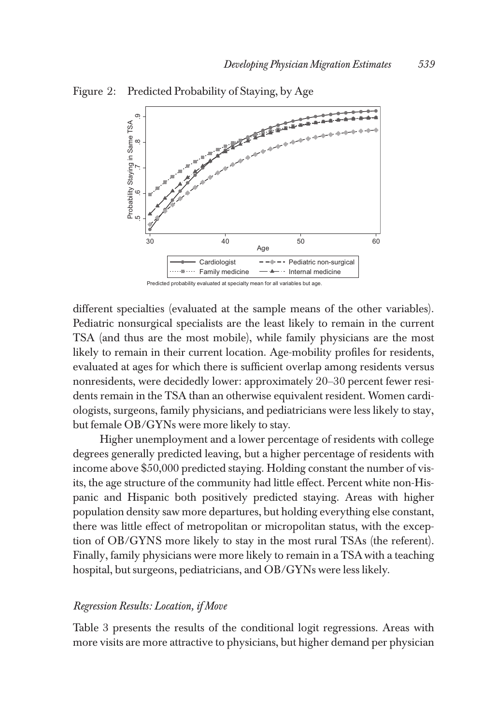

Figure 2: Predicted Probability of Staying, by Age

different specialties (evaluated at the sample means of the other variables). Pediatric nonsurgical specialists are the least likely to remain in the current TSA (and thus are the most mobile), while family physicians are the most likely to remain in their current location. Age-mobility profiles for residents, evaluated at ages for which there is sufficient overlap among residents versus nonresidents, were decidedly lower: approximately 20–30 percent fewer residents remain in the TSA than an otherwise equivalent resident. Women cardiologists, surgeons, family physicians, and pediatricians were less likely to stay, but female OB/GYNs were more likely to stay.

Higher unemployment and a lower percentage of residents with college degrees generally predicted leaving, but a higher percentage of residents with income above \$50,000 predicted staying. Holding constant the number of visits, the age structure of the community had little effect. Percent white non-Hispanic and Hispanic both positively predicted staying. Areas with higher population density saw more departures, but holding everything else constant, there was little effect of metropolitan or micropolitan status, with the exception of OB/GYNS more likely to stay in the most rural TSAs (the referent). Finally, family physicians were more likely to remain in a TSA with a teaching hospital, but surgeons, pediatricians, and OB/GYNs were less likely. more attractive to physicians, and perfect to physicians, and OB/GYNS were less likely.<br>
Representing the control of the control of the control of the control of the same TSA (and thus are the most mobile), while family p

#### Regression Results: Location, if Move

Table 3 presents the results of the conditional logit regressions. Areas with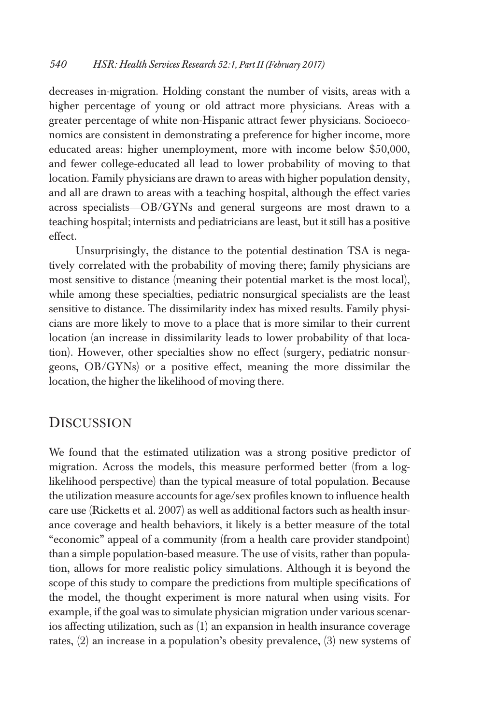decreases in-migration. Holding constant the number of visits, areas with a higher percentage of young or old attract more physicians. Areas with a greater percentage of white non-Hispanic attract fewer physicians. Socioeconomics are consistent in demonstrating a preference for higher income, more educated areas: higher unemployment, more with income below \$50,000, and fewer college-educated all lead to lower probability of moving to that location. Family physicians are drawn to areas with higher population density, and all are drawn to areas with a teaching hospital, although the effect varies across specialists—OB/GYNs and general surgeons are most drawn to a teaching hospital; internists and pediatricians are least, but it still has a positive effect.

Unsurprisingly, the distance to the potential destination TSA is negatively correlated with the probability of moving there; family physicians are most sensitive to distance (meaning their potential market is the most local), while among these specialties, pediatric nonsurgical specialists are the least sensitive to distance. The dissimilarity index has mixed results. Family physicians are more likely to move to a place that is more similar to their current location (an increase in dissimilarity leads to lower probability of that location). However, other specialties show no effect (surgery, pediatric nonsurgeons, OB/GYNs) or a positive effect, meaning the more dissimilar the location, the higher the likelihood of moving there.

## **DISCUSSION**

We found that the estimated utilization was a strong positive predictor of migration. Across the models, this measure performed better (from a loglikelihood perspective) than the typical measure of total population. Because the utilization measure accounts for age/sex profiles known to influence health care use (Ricketts et al. 2007) as well as additional factors such as health insurance coverage and health behaviors, it likely is a better measure of the total "economic" appeal of a community (from a health care provider standpoint) than a simple population-based measure. The use of visits, rather than population, allows for more realistic policy simulations. Although it is beyond the scope of this study to compare the predictions from multiple specifications of the model, the thought experiment is more natural when using visits. For example, if the goal was to simulate physician migration under various scenarios affecting utilization, such as (1) an expansion in health insurance coverage rates, (2) an increase in a population's obesity prevalence, (3) new systems of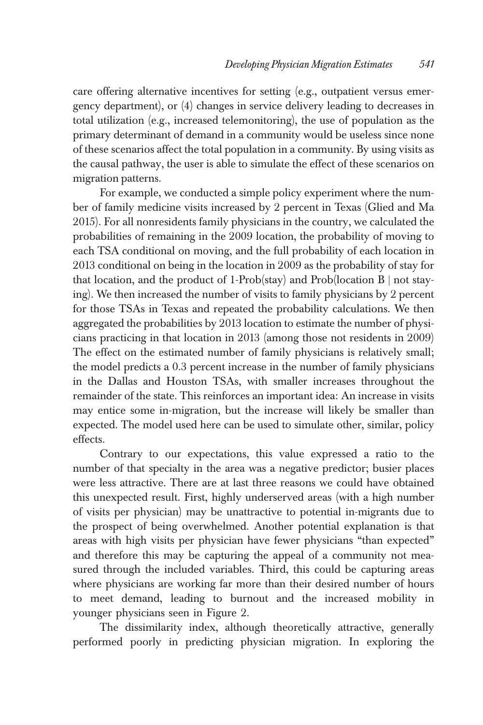care offering alternative incentives for setting (e.g., outpatient versus emergency department), or (4) changes in service delivery leading to decreases in total utilization (e.g., increased telemonitoring), the use of population as the primary determinant of demand in a community would be useless since none of these scenarios affect the total population in a community. By using visits as the causal pathway, the user is able to simulate the effect of these scenarios on migration patterns.

For example, we conducted a simple policy experiment where the number of family medicine visits increased by 2 percent in Texas (Glied and Ma 2015). For all nonresidents family physicians in the country, we calculated the probabilities of remaining in the 2009 location, the probability of moving to each TSA conditional on moving, and the full probability of each location in 2013 conditional on being in the location in 2009 as the probability of stay for that location, and the product of 1-Prob(stay) and Prob(location B | not staying). We then increased the number of visits to family physicians by 2 percent for those TSAs in Texas and repeated the probability calculations. We then aggregated the probabilities by 2013 location to estimate the number of physicians practicing in that location in 2013 (among those not residents in 2009) The effect on the estimated number of family physicians is relatively small; the model predicts a 0.3 percent increase in the number of family physicians in the Dallas and Houston TSAs, with smaller increases throughout the remainder of the state. This reinforces an important idea: An increase in visits may entice some in-migration, but the increase will likely be smaller than expected. The model used here can be used to simulate other, similar, policy effects.

Contrary to our expectations, this value expressed a ratio to the number of that specialty in the area was a negative predictor; busier places were less attractive. There are at last three reasons we could have obtained this unexpected result. First, highly underserved areas (with a high number of visits per physician) may be unattractive to potential in-migrants due to the prospect of being overwhelmed. Another potential explanation is that areas with high visits per physician have fewer physicians "than expected" and therefore this may be capturing the appeal of a community not measured through the included variables. Third, this could be capturing areas where physicians are working far more than their desired number of hours to meet demand, leading to burnout and the increased mobility in younger physicians seen in Figure 2.

The dissimilarity index, although theoretically attractive, generally performed poorly in predicting physician migration. In exploring the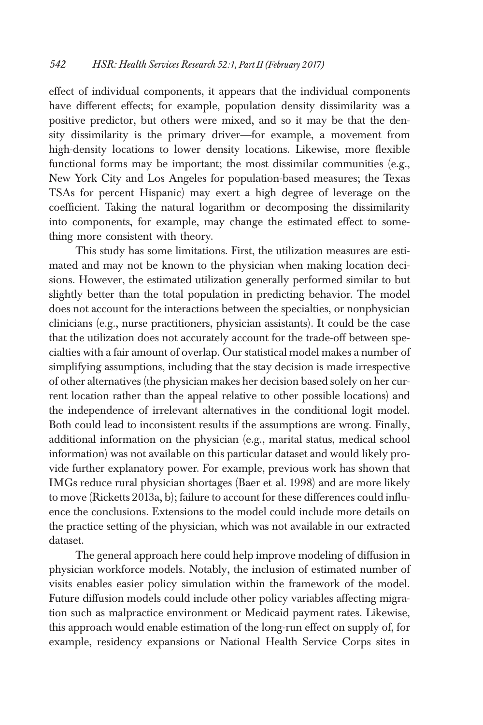effect of individual components, it appears that the individual components have different effects; for example, population density dissimilarity was a positive predictor, but others were mixed, and so it may be that the density dissimilarity is the primary driver—for example, a movement from high-density locations to lower density locations. Likewise, more flexible functional forms may be important; the most dissimilar communities (e.g., New York City and Los Angeles for population-based measures; the Texas TSAs for percent Hispanic) may exert a high degree of leverage on the coefficient. Taking the natural logarithm or decomposing the dissimilarity into components, for example, may change the estimated effect to something more consistent with theory.

This study has some limitations. First, the utilization measures are estimated and may not be known to the physician when making location decisions. However, the estimated utilization generally performed similar to but slightly better than the total population in predicting behavior. The model does not account for the interactions between the specialties, or nonphysician clinicians (e.g., nurse practitioners, physician assistants). It could be the case that the utilization does not accurately account for the trade-off between specialties with a fair amount of overlap. Our statistical model makes a number of simplifying assumptions, including that the stay decision is made irrespective of other alternatives (the physician makes her decision based solely on her current location rather than the appeal relative to other possible locations) and the independence of irrelevant alternatives in the conditional logit model. Both could lead to inconsistent results if the assumptions are wrong. Finally, additional information on the physician (e.g., marital status, medical school information) was not available on this particular dataset and would likely provide further explanatory power. For example, previous work has shown that IMGs reduce rural physician shortages (Baer et al. 1998) and are more likely to move (Ricketts 2013a, b); failure to account for these differences could influence the conclusions. Extensions to the model could include more details on the practice setting of the physician, which was not available in our extracted dataset.

The general approach here could help improve modeling of diffusion in physician workforce models. Notably, the inclusion of estimated number of visits enables easier policy simulation within the framework of the model. Future diffusion models could include other policy variables affecting migration such as malpractice environment or Medicaid payment rates. Likewise, this approach would enable estimation of the long-run effect on supply of, for example, residency expansions or National Health Service Corps sites in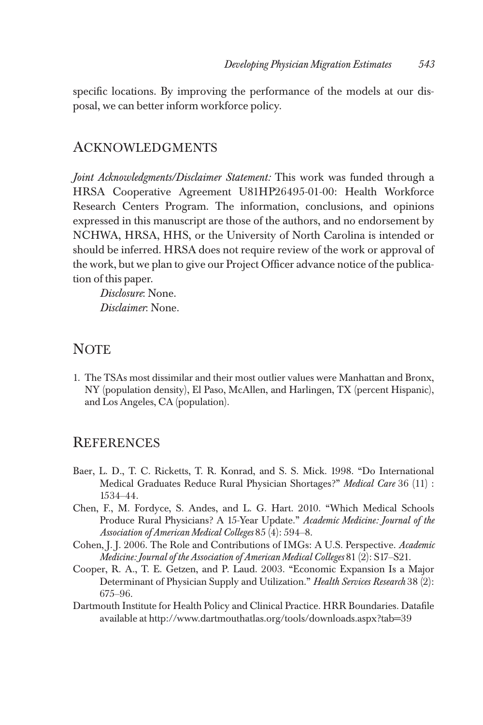specific locations. By improving the performance of the models at our disposal, we can better inform workforce policy.

## ACKNOWLEDGMENTS

Joint Acknowledgments/Disclaimer Statement: This work was funded through a HRSA Cooperative Agreement U81HP26495-01-00: Health Workforce Research Centers Program. The information, conclusions, and opinions expressed in this manuscript are those of the authors, and no endorsement by NCHWA, HRSA, HHS, or the University of North Carolina is intended or should be inferred. HRSA does not require review of the work or approval of the work, but we plan to give our Project Officer advance notice of the publication of this paper.

Disclosure: None. Disclaimer: None.

## **NOTE**

1. The TSAs most dissimilar and their most outlier values were Manhattan and Bronx, NY (population density), El Paso, McAllen, and Harlingen, TX (percent Hispanic), and Los Angeles, CA (population).

## **REFERENCES**

- Baer, L. D., T. C. Ricketts, T. R. Konrad, and S. S. Mick. 1998. "Do International Medical Graduates Reduce Rural Physician Shortages?" Medical Care 36 (11) : 1534–44.
- Chen, F., M. Fordyce, S. Andes, and L. G. Hart. 2010. "Which Medical Schools Produce Rural Physicians? A 15-Year Update." Academic Medicine: Journal of the Association of American Medical Colleges 85 (4): 594–8.
- Cohen, J. J. 2006. The Role and Contributions of IMGs: A U.S. Perspective. Academic Medicine: Journal of the Association of American Medical Colleges 81 (2): S17–S21.
- Cooper, R. A., T. E. Getzen, and P. Laud. 2003. "Economic Expansion Is a Major Determinant of Physician Supply and Utilization." Health Services Research 38 (2): 675–96.
- Dartmouth Institute for Health Policy and Clinical Practice. HRR Boundaries. Datafile available at<http://www.dartmouthatlas.org/tools/downloads.aspx?tab=39>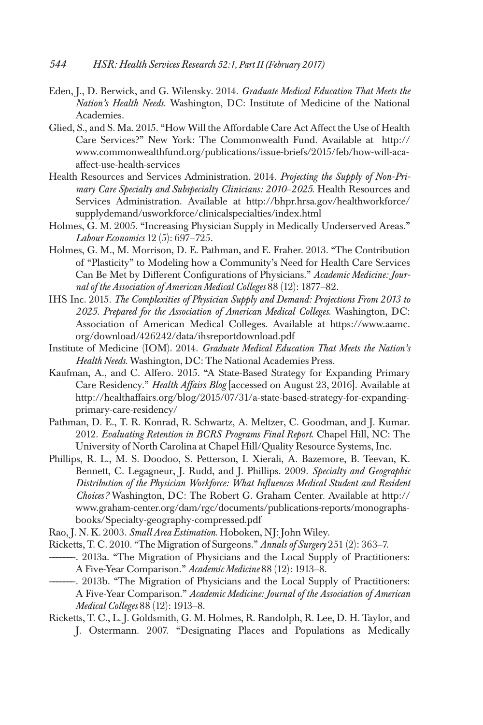- Eden, J., D. Berwick, and G. Wilensky. 2014. Graduate Medical Education That Meets the Nation's Health Needs. Washington, DC: Institute of Medicine of the National Academies.
- Glied, S., and S. Ma. 2015. "How Will the Affordable Care Act Affect the Use of Health Care Services?" New York: The Commonwealth Fund. Available at [http://](http://www.commonwealthfund.org/publications/issue-briefs/2015/feb/how-will-aca-affect-use-health-services) [www.commonwealthfund.org/publications/issue-briefs/2015/feb/how-will-aca](http://www.commonwealthfund.org/publications/issue-briefs/2015/feb/how-will-aca-affect-use-health-services)[affect-use-health-services](http://www.commonwealthfund.org/publications/issue-briefs/2015/feb/how-will-aca-affect-use-health-services)
- Health Resources and Services Administration. 2014. Projecting the Supply of Non-Primary Care Specialty and Subspecialty Clinicians: 2010–2025. Health Resources and Services Administration. Available at [http://bhpr.hrsa.gov/healthworkforce/](http://bhpr.hrsa.gov/healthworkforce/supplydemand/usworkforce/clinicalspecialties/index.html) [supplydemand/usworkforce/clinicalspecialties/index.html](http://bhpr.hrsa.gov/healthworkforce/supplydemand/usworkforce/clinicalspecialties/index.html)
- Holmes, G. M. 2005. "Increasing Physician Supply in Medically Underserved Areas." Labour Economics 12 (5): 697–725.
- Holmes, G. M., M. Morrison, D. E. Pathman, and E. Fraher. 2013. "The Contribution of "Plasticity" to Modeling how a Community's Need for Health Care Services Can Be Met by Different Configurations of Physicians." Academic Medicine: Journal of the Association of American Medical Colleges 88 (12): 1877–82.
- IHS Inc. 2015. The Complexities of Physician Supply and Demand: Projections From 2013 to 2025. Prepared for the Association of American Medical Colleges. Washington, DC: Association of American Medical Colleges. Available at [https://www.aamc.](https://www.aamc.org/download/426242/data/ihsreportdownload.pdf) [org/download/426242/data/ihsreportdownload.pdf](https://www.aamc.org/download/426242/data/ihsreportdownload.pdf)
- Institute of Medicine (IOM). 2014. Graduate Medical Education That Meets the Nation's Health Needs. Washington, DC: The National Academies Press.
- Kaufman, A., and C. Alfero. 2015. "A State-Based Strategy for Expanding Primary Care Residency." Health Affairs Blog [accessed on August 23, 2016]. Available at [http://healthaffairs.org/blog/2015/07/31/a-state-based-strategy-for-expanding](http://healthaffairs.org/blog/2015/07/31/a-state-based-strategy-for-expanding-primary-care-residency/)[primary-care-residency/](http://healthaffairs.org/blog/2015/07/31/a-state-based-strategy-for-expanding-primary-care-residency/)
- Pathman, D. E., T. R. Konrad, R. Schwartz, A. Meltzer, C. Goodman, and J. Kumar. 2012. Evaluating Retention in BCRS Programs Final Report. Chapel Hill, NC: The University of North Carolina at Chapel Hill/Quality Resource Systems, Inc.
- Phillips, R. L., M. S. Doodoo, S. Petterson, I. Xierali, A. Bazemore, B. Teevan, K. Bennett, C. Legagneur, J. Rudd, and J. Phillips. 2009. Specialty and Geographic Distribution of the Physician Workforce: What Influences Medical Student and Resident Choices? Washington, DC: The Robert G. Graham Center. Available at [http://](http://www.graham-center.org/dam/rgc/documents/publications-reports/monographs-books/Specialty-geography-compressed.pdf) [www.graham-center.org/dam/rgc/documents/publications-reports/monographs](http://www.graham-center.org/dam/rgc/documents/publications-reports/monographs-books/Specialty-geography-compressed.pdf)[books/Specialty-geography-compressed.pdf](http://www.graham-center.org/dam/rgc/documents/publications-reports/monographs-books/Specialty-geography-compressed.pdf)
- Rao, J. N. K. 2003. Small Area Estimation. Hoboken, NJ: John Wiley.
- Ricketts, T. C. 2010. "The Migration of Surgeons." Annals of Surgery 251 (2): 363–7.
- ———————. 2013a. "The Migration of Physicians and the Local Supply of Practitioners: A Five-Year Comparison." Academic Medicine 88 (12): 1913–8.
- ———————. 2013b. "The Migration of Physicians and the Local Supply of Practitioners: A Five-Year Comparison." Academic Medicine: Journal of the Association of American Medical Colleges 88 (12): 1913–8.
- Ricketts, T. C., L. J. Goldsmith, G. M. Holmes, R. Randolph, R. Lee, D. H. Taylor, and J. Ostermann. 2007. "Designating Places and Populations as Medically